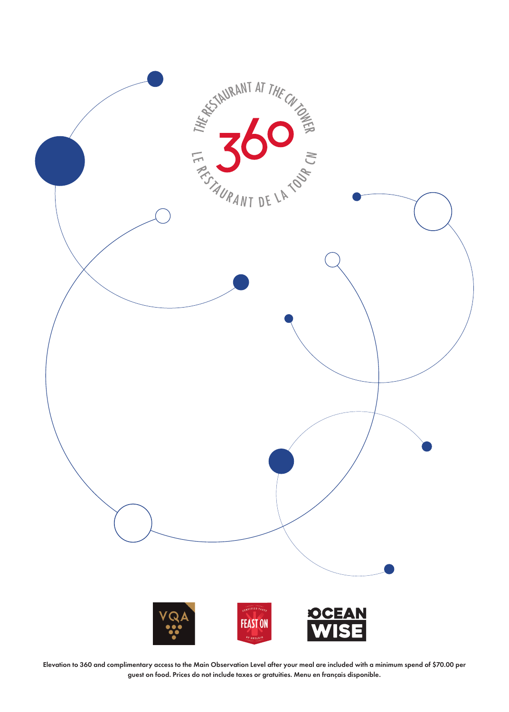

Elevation to 360 and complimentary access to the Main Observation Level after your meal are included with a minimum spend of \$70.00 per guest on food. Prices do not include taxes or gratuities. Menu en français disponible.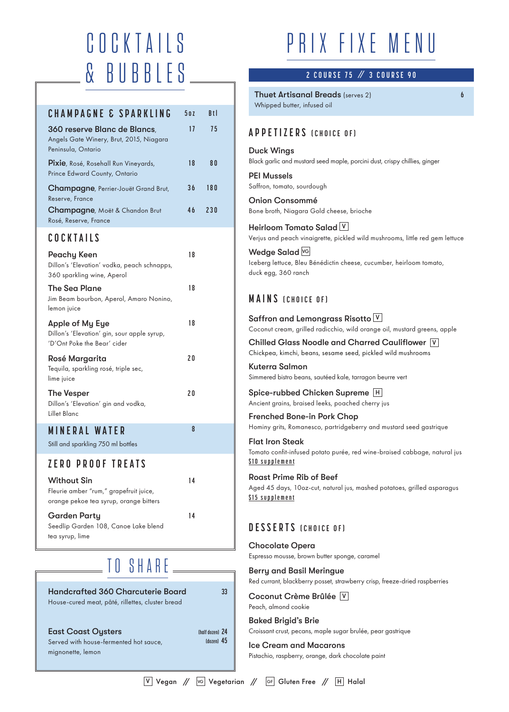# COCKTAILS & BUBBLES

| CHAMPAGNE & SPARKLING                                                                         | 502 | R <sub>t</sub> |
|-----------------------------------------------------------------------------------------------|-----|----------------|
| 360 reserve Blanc de Blancs,<br>Angels Gate Winery, Brut, 2015, Niagara<br>Peninsula, Ontario | 17  | 75             |
| Pixie, Rosé, Rosehall Run Vineyards,<br>Prince Edward County, Ontario                         | 18  | 80             |
| Champagne, Perrier-Jouët Grand Brut,<br>Reserve, France                                       | 36  | 180            |
| Champagne, Moët & Chandon Brut<br>Rosé, Reserve, France                                       | 46  | 230            |

### **COCKTAILS**

| Peachy Keen<br>Dillon's 'Elevation' vodka, peach schnapps,<br>360 sparkling wine, Aperol      | 18 |
|-----------------------------------------------------------------------------------------------|----|
| The Sea Plane<br>Jim Beam bourbon, Aperol, Amaro Nonino,<br>lemon juice                       | 18 |
| Apple of My Eye<br>Dillon's 'Elevation' gin, sour apple syrup,<br>'D'Ont Poke the Bear' cider | 18 |
| Rosé Margarita<br>Tequila, sparkling rosé, triple sec,<br>lime juice                          | 20 |
| <b>The Vesper</b><br>Dillon's 'Elevation' gin and vodka,<br><b>Lillet Blanc</b>               | 20 |
| <b>MINERAL WATER</b><br>Still and sparkling 750 ml bottles                                    | 8  |
| ZERO PROOF TREATS                                                                             |    |

Without Sin Fleurie amber "rum," grapefruit juice,

orange pekoe tea syrup, orange bitters Garden Party Seedlip Garden 108, Canoe Lake blend

tea syrup, lime

# SHARE

**14** 

**14** 

Handcrafted 360 Charcuterie Board House-cured meat, pâté, rillettes, cluster bread

#### East Coast Oysters

Served with house-fermented hot sauce, mignonette, lemon

# PRIX FIXE MENU

### / / **2 COURSE 75 3 COURSE 90**

**6**

Thuet Artisanal Breads (serves 2) Whipped butter, infused oil

#### Duck Wings

Black garlic and mustard seed maple, porcini dust, crispy chillies, ginger

PEI Mussels Saffron, tomato, sourdough

Onion Consommé Bone broth, Niagara Gold cheese, brioche

Heirloom Tomato Salad <u>V</u> Verjus and peach vinaigrette, pickled wild mushrooms, little red gem lettuce

Wedge Salad **<u>VG</u>** Iceberg lettuce, Bleu Bénédictin cheese, cucumber, heirloom tomato, duck egg, 360 ranch

### **MAINS (CHOICE OF)**

Saffron and Lemongrass Risotto  $\vee$ Coconut cream, grilled radicchio, wild orange oil, mustard greens, apple

Chilled Glass Noodle and Charred Cauliflower V Chickpea, kimchi, beans, sesame seed, pickled wild mushrooms

Kuterra Salmon Simmered bistro beans, sautéed kale, tarragon beurre vert

Spice-rubbed Chicken Supreme <u>I<sup>н</sup></u> Ancient grains, braised leeks, poached cherry jus

Frenched Bone-in Pork Chop Hominy grits, Romanesco, partridgeberry and mustard seed gastrique

Flat Iron Steak

Tomato confit-infused potato purée, red wine-braised cabbage, natural jus **\$10 supplement** 

#### Roast Prime Rib of Beef

Aged 45 days, 10oz-cut, natural jus, mashed potatoes, grilled asparagus **\$15 supplement** 

### **DESSERTS (CHOICE OF)**

Chocolate Opera Espresso mousse, brown butter sponge, caramel

Berry and Basil Meringue Red currant, blackberry posset, strawberry crisp, freeze-dried raspberries

Coconut Crème Brûlée V Peach, almond cookie

Baked Brigid's Brie Croissant crust, pecans, maple sugar brulée, pear gastrique

Ice Cream and Macarons Pistachio, raspberry, orange, dark chocolate paint

**33** 

**(half dozen) 24 (dozen) 45**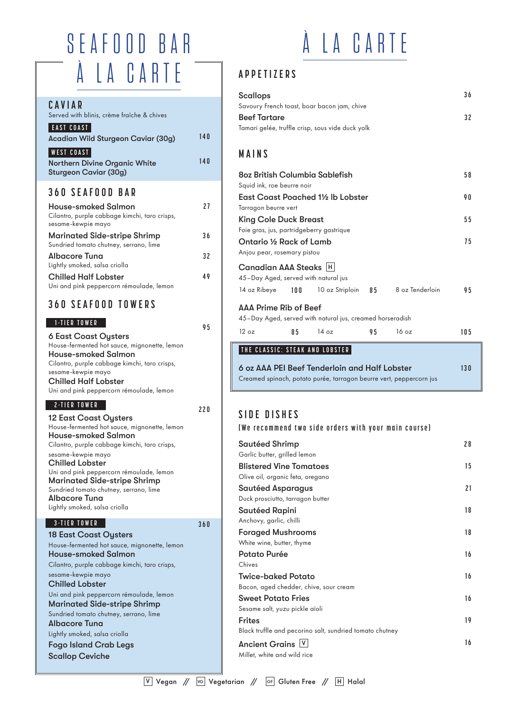# SEAFOOD BAR À LA CARTE

#### **CAVIAR**  Served with blinis, crème fraîche & chives **EAST COAST** Acadian Wild Sturgeon Caviar (30g) **140 WEST COAST** Northern Divine Organic White Sturgeon Caviar (30g) **360 SEAFOOD BAR**

| <b>House-smoked Salmon</b><br>Cilantro, purple cabbage kimchi, taro crisps,<br>sesame-kewpie mayo | 71  |
|---------------------------------------------------------------------------------------------------|-----|
| <b>Marinated Side-stripe Shrimp</b><br>Sundried tomato chutney, serrano, lime                     | 36  |
| <b>Albacore Tuna</b><br>Lightly smoked, salsa criolla                                             | 32  |
| <b>Chilled Half Lobster</b><br>Uni and pink peppercorn rémoulade, lemon                           | 4 Q |

### **360 SEAFOOD TOWERS**

#### **1-TIER TOWER** 95

| <b>6 East Coast Oysters</b>                   |
|-----------------------------------------------|
| House-fermented hot sauce, mignonette, lemon  |
| <b>House-smoked Salmon</b>                    |
| Cilantro, purple cabbage kimchi, taro crisps, |
| sesame-kewpie mayo                            |
| <b>Chilled Half Lobster</b>                   |
| Uni and pink peppercorn rémoulade, lemon      |
|                                               |

### **2-TIER TOWER 220**

12 East Coast Oysters House-fermented hot sauce, mignonette, lemon House-smoked Salmon Cilantro, purple cabbage kimchi, taro crisps, sesame-kewpie mayo Chilled Lobster Uni and pink peppercorn rémoulade, lemon Marinated Side-stripe Shrimp Sundried tomato chutney, serrano, lime Albacore Tuna Lightly smoked, salsa criolla

#### **3-TIER TOWER 360**

18 East Coast Oysters House-fermented hot sauce, mignonette, lemon House-smoked Salmon Cilantro, purple cabbage kimchi, taro crisps, sesame-kewpie mayo Chilled Lobster Uni and pink peppercorn rémoulade, lemon Marinated Side-stripe Shrimp Sundried tomato chutney, serrano, lime Albacore Tuna Lightly smoked, salsa criolla Fogo Island Crab Legs Scallop Ceviche

# À LA CARTE

# **APPETIZERS**

| Scallops                                         | 36 |
|--------------------------------------------------|----|
| Savoury French toast, boar bacon jam, chive      |    |
| Beef Tartare                                     | 32 |
| Tamari gelée, truffle crisp, sous vide duck yolk |    |

## **MAINS**

**140** 

| 80z British Columbia Sablefish                |    |                                                           |    |                                                     |     |  |  |  |
|-----------------------------------------------|----|-----------------------------------------------------------|----|-----------------------------------------------------|-----|--|--|--|
| Squid ink, roe beurre noir                    |    |                                                           |    |                                                     |     |  |  |  |
| East Coast Poached 1½ Ib Lobster              |    |                                                           |    |                                                     |     |  |  |  |
| Tarragon beurre vert                          |    |                                                           |    |                                                     |     |  |  |  |
| <b>King Cole Duck Breast</b>                  |    |                                                           |    |                                                     |     |  |  |  |
| Foie gras, jus, partridgeberry gastrique      |    |                                                           |    |                                                     |     |  |  |  |
| Ontario 1/2 Rack of Lamb                      |    |                                                           |    |                                                     |     |  |  |  |
| Anjou pear, rosemary pistou                   |    |                                                           |    |                                                     |     |  |  |  |
| Canadian AAA Steaks  H                        |    |                                                           |    |                                                     |     |  |  |  |
| 45-Day Aged, served with natural jus          |    |                                                           |    |                                                     |     |  |  |  |
|                                               |    |                                                           |    | 14 oz Ribeye 100 10 oz Striploin 85 8 oz Tenderloin | 95  |  |  |  |
| <b>AAA Prime Rib of Beef</b>                  |    |                                                           |    |                                                     |     |  |  |  |
|                                               |    | 45-Day Aged, served with natural jus, creamed horseradish |    |                                                     |     |  |  |  |
| 12 oz                                         | 85 | 14 oz                                                     | 95 | 16 oz                                               | 105 |  |  |  |
| THE CLASSIC: STEAK AND LOBSTER                |    |                                                           |    |                                                     |     |  |  |  |
| 6 oz AAA PEI Beef Tenderloin and Half Lobster |    |                                                           |    |                                                     |     |  |  |  |

6 oz AAA PEI Beef Tenderloin and Half Lobster Creamed spinach, potato purée, tarragon beurre vert, peppercorn jus

# **SIDE DISHES**

#### **(We recommend two side orders with your main course)**

| Sautéed Shrimp                                           | 28 |
|----------------------------------------------------------|----|
| Garlic butter, grilled lemon                             |    |
| <b>Blistered Vine Tomatoes</b>                           | 15 |
| Olive oil, organic feta, oregano                         |    |
| <b>Sautéed Asparagus</b>                                 | 21 |
| Duck prosciutto, tarragon butter                         |    |
| <b>Sautéed Rapini</b>                                    | 18 |
| Anchovy, garlic, chilli                                  |    |
| <b>Foraged Mushrooms</b>                                 | 18 |
| White wine, butter, thyme                                |    |
| Potato Purée                                             | 16 |
| Chives                                                   |    |
| <b>Twice-baked Potato</b>                                | 16 |
| Bacon, aged chedder, chive, sour cream                   |    |
| <b>Sweet Potato Fries</b>                                | 16 |
| Sesame salt, yuzu pickle aïoli                           |    |
| <b>Frites</b>                                            | 19 |
| Black truffle and pecorino salt, sundried tomato chutney |    |
| Ancient Grains V                                         | 16 |
| Millet, white and wild rice                              |    |